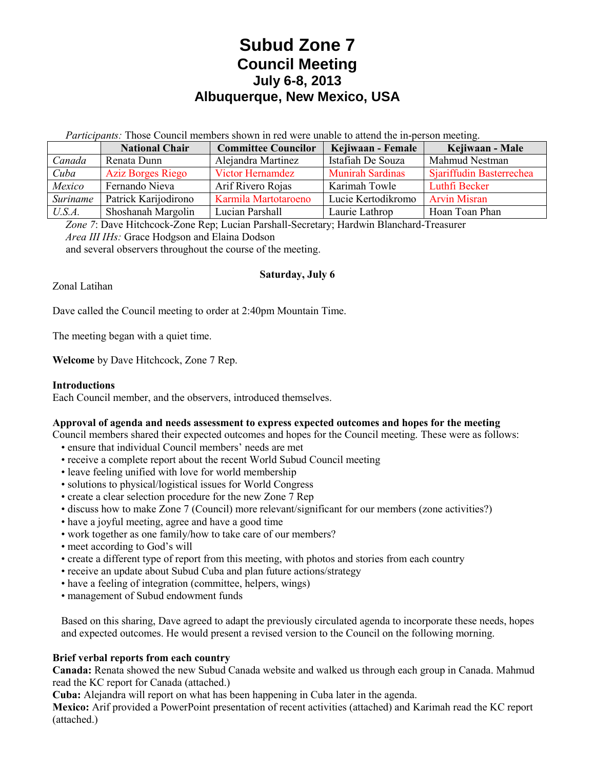# **Subud Zone 7 Council Meeting July 6-8, 2013 Albuquerque, New Mexico, USA**

*Participants:* Those Council members shown in red were unable to attend the in-person meeting.

|          | <b>National Chair</b>    | <b>Committee Councilor</b> | Kejiwaan - Female       | Kejiwaan - Male          |
|----------|--------------------------|----------------------------|-------------------------|--------------------------|
| Canada   | Renata Dunn              | Alejandra Martinez         | Istafiah De Souza       | Mahmud Nestman           |
| Cuba     | <b>Aziz Borges Riego</b> | <b>Victor Hernamdez</b>    | <b>Munirah Sardinas</b> | Sjariffudin Basterrechea |
| Mexico   | Fernando Nieva           | Arif Rivero Rojas          | Karimah Towle           | Luthfi Becker            |
| Suriname | Patrick Karijodirono     | Karmila Martotaroeno       | Lucie Kertodikromo      | <b>Arvin Misran</b>      |
| U.S.A.   | Shoshanah Margolin       | Lucian Parshall            | Laurie Lathrop          | Hoan Toan Phan           |

*Zone 7*: Dave Hitchcock-Zone Rep; Lucian Parshall-Secretary; Hardwin Blanchard-Treasurer *Area III IHs:* Grace Hodgson and Elaina Dodson and several observers throughout the course of the meeting.

# **Saturday, July 6**

Zonal Latihan

Dave called the Council meeting to order at 2:40pm Mountain Time.

The meeting began with a quiet time.

Welcome by Dave Hitchcock, Zone 7 Rep.

#### **Introductions**

Each Council member, and the observers, introduced themselves.

#### **Approval of agenda and needs assessment to express expected outcomes and hopes for the meeting**

Council members shared their expected outcomes and hopes for the Council meeting. These were as follows:

- ensure that individual Council members' needs are met
- receive a complete report about the recent World Subud Council meeting
- leave feeling unified with love for world membership
- solutions to physical/logistical issues for World Congress
- create a clear selection procedure for the new Zone 7 Rep
- discuss how to make Zone 7 (Council) more relevant/significant for our members (zone activities?)
- have a joyful meeting, agree and have a good time
- work together as one family/how to take care of our members?
- meet according to God's will
- create a different type of report from this meeting, with photos and stories from each country
- receive an update about Subud Cuba and plan future actions/strategy
- have a feeling of integration (committee, helpers, wings)
- management of Subud endowment funds

Based on this sharing, Dave agreed to adapt the previously circulated agenda to incorporate these needs, hopes and expected outcomes. He would present a revised version to the Council on the following morning.

#### **Brief verbal reports from each country**

**Canada:** Renata showed the new Subud Canada website and walked us through each group in Canada. Mahmud read the KC report for Canada (attached.)

**Cuba:** Alejandra will report on what has been happening in Cuba later in the agenda.

**Mexico:** Arif provided a PowerPoint presentation of recent activities (attached) and Karimah read the KC report (attached.)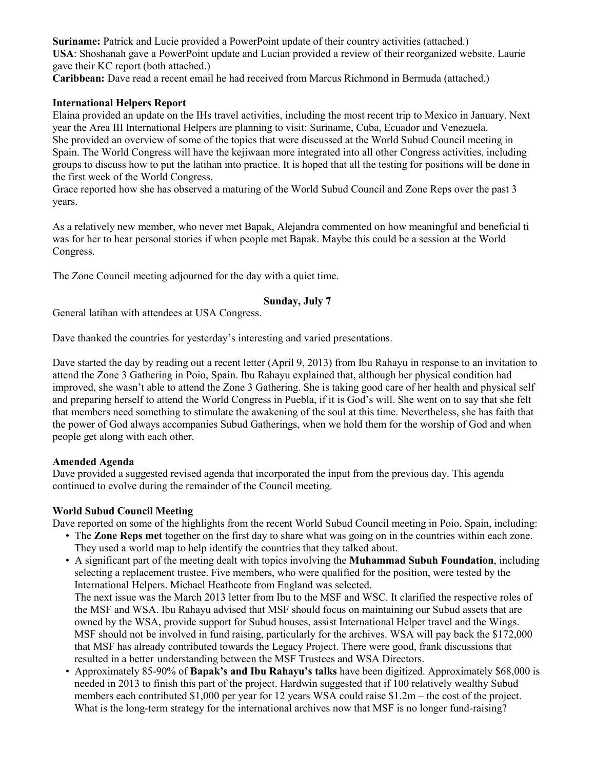**Suriname:** Patrick and Lucie provided a PowerPoint update of their country activities (attached.) **USA**: Shoshanah gave a PowerPoint update and Lucian provided a review of their reorganized website. Laurie gave their KC report (both attached.)

**Caribbean:** Dave read a recent email he had received from Marcus Richmond in Bermuda (attached.)

## **International Helpers Report**

Elaina provided an update on the IHs travel activities, including the most recent trip to Mexico in January. Next year the Area III International Helpers are planning to visit: Suriname, Cuba, Ecuador and Venezuela. She provided an overview of some of the topics that were discussed at the World Subud Council meeting in Spain. The World Congress will have the kejiwaan more integrated into all other Congress activities, including groups to discuss how to put the latihan into practice. It is hoped that all the testing for positions will be done in the first week of the World Congress.

Grace reported how she has observed a maturing of the World Subud Council and Zone Reps over the past 3 years.

As a relatively new member, who never met Bapak, Alejandra commented on how meaningful and beneficial ti was for her to hear personal stories if when people met Bapak. Maybe this could be a session at the World Congress.

The Zone Council meeting adjourned for the day with a quiet time.

#### **Sunday, July 7**

General latihan with attendees at USA Congress.

Dave thanked the countries for yesterday's interesting and varied presentations.

Dave started the day by reading out a recent letter (April 9, 2013) from Ibu Rahayu in response to an invitation to attend the Zone 3 Gathering in Poio, Spain. Ibu Rahayu explained that, although her physical condition had improved, she wasn't able to attend the Zone 3 Gathering. She is taking good care of her health and physical self and preparing herself to attend the World Congress in Puebla, if it is God's will. She went on to say that she felt that members need something to stimulate the awakening of the soul at this time. Nevertheless, she has faith that the power of God always accompanies Subud Gatherings, when we hold them for the worship of God and when people get along with each other.

#### **Amended Agenda**

Dave provided a suggested revised agenda that incorporated the input from the previous day. This agenda continued to evolve during the remainder of the Council meeting.

#### **World Subud Council Meeting**

Dave reported on some of the highlights from the recent World Subud Council meeting in Poio, Spain, including:

- The **Zone Reps met** together on the first day to share what was going on in the countries within each zone. They used a world map to help identify the countries that they talked about.
- A significant part of the meeting dealt with topics involving the **Muhammad Subuh Foundation**, including selecting a replacement trustee. Five members, who were qualified for the position, were tested by the International Helpers. Michael Heathcote from England was selected. The next issue was the March 2013 letter from Ibu to the MSF and WSC. It clarified the respective roles of the MSF and WSA. Ibu Rahayu advised that MSF should focus on maintaining our Subud assets that are owned by the WSA, provide support for Subud houses, assist International Helper travel and the Wings. MSF should not be involved in fund raising, particularly for the archives. WSA will pay back the \$172,000 that MSF has already contributed towards the Legacy Project. There were good, frank discussions that resulted in a better understanding between the MSF Trustees and WSA Directors.
- Approximately 85-90% of **Bapak's and Ibu Rahayu's talks** have been digitized. Approximately \$68,000 is needed in 2013 to finish this part of the project. Hardwin suggested that if 100 relatively wealthy Subud members each contributed \$1,000 per year for 12 years WSA could raise \$1.2m – the cost of the project. What is the long-term strategy for the international archives now that MSF is no longer fund-raising?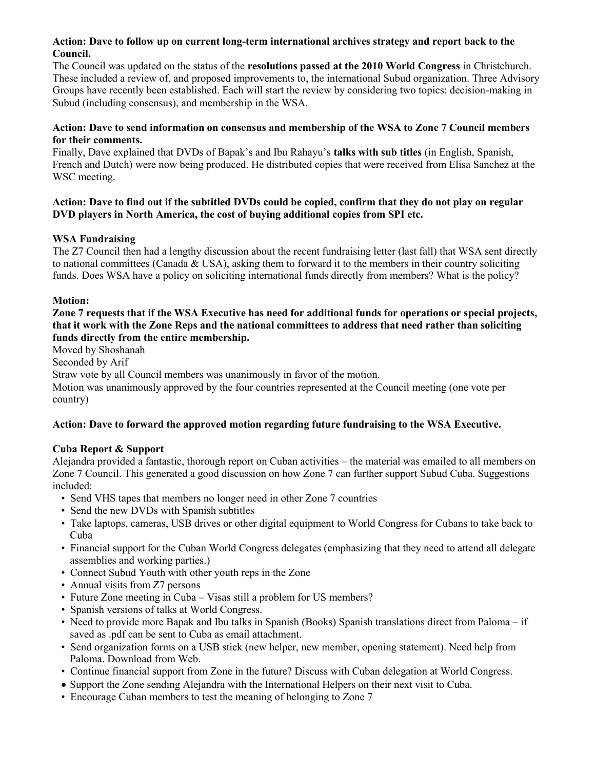#### **Action: Dave to follow up on current long-term international archives strategy and report back to the Council.**

The Council was updated on the status of the **resolutions passed at the 2010 World Congress** in Christchurch. These included a review of, and proposed improvements to, the international Subud organization. Three Advisory Groups have recently been established. Each will start the review by considering two topics: decision-making in Subud (including consensus), and membership in the WSA.

#### **Action: Dave to send information on consensus and membership of the WSA to Zone 7 Council members for their comments.**

Finally, Dave explained that DVDs of Bapak's and Ibu Rahayu's **talks with sub titles** (in English, Spanish, French and Dutch) were now being produced. He distributed copies that were received from Elisa Sanchez at the WSC meeting.

### **Action: Dave to find out if the subtitled DVDs could be copied, confirm that they do not play on regular DVD players in North America, the cost of buying additional copies from SPI etc.**

## **WSA Fundraising**

The Z7 Council then had a lengthy discussion about the recent fundraising letter (last fall) that WSA sent directly to national committees (Canada  $&$  USA), asking them to forward it to the members in their country soliciting funds. Does WSA have a policy on soliciting international funds directly from members? What is the policy?

### **Motion:**

## **Zone 7 requests that if the WSA Executive has need for additional funds for operations or special projects, that it work with the Zone Reps and the national committees to address that need rather than soliciting funds directly from the entire membership.**

Moved by Shoshanah Seconded by Arif

Straw vote by all Council members was unanimously in favor of the motion.

Motion was unanimously approved by the four countries represented at the Council meeting (one vote per country)

## **Action: Dave to forward the approved motion regarding future fundraising to the WSA Executive.**

# **Cuba Report & Support**

Alejandra provided a fantastic, thorough report on Cuban activities – the material was emailed to all members on Zone 7 Council. This generated a good discussion on how Zone 7 can further support Subud Cuba. Suggestions included:

- Send VHS tapes that members no longer need in other Zone 7 countries
- Send the new DVDs with Spanish subtitles
- Take laptops, cameras, USB drives or other digital equipment to World Congress for Cubans to take back to Cuba
- Financial support for the Cuban World Congress delegates (emphasizing that they need to attend all delegate assemblies and working parties.)
- Connect Subud Youth with other youth reps in the Zone
- Annual visits from Z7 persons
- Future Zone meeting in Cuba Visas still a problem for US members?
- Spanish versions of talks at World Congress.
- Need to provide more Bapak and Ibu talks in Spanish (Books) Spanish translations direct from Paloma if saved as .pdf can be sent to Cuba as email attachment.
- Send organization forms on a USB stick (new helper, new member, opening statement). Need help from Paloma. Download from Web.
- Continue financial support from Zone in the future? Discuss with Cuban delegation at World Congress.
- Support the Zone sending Alejandra with the International Helpers on their next visit to Cuba.
- Encourage Cuban members to test the meaning of belonging to Zone 7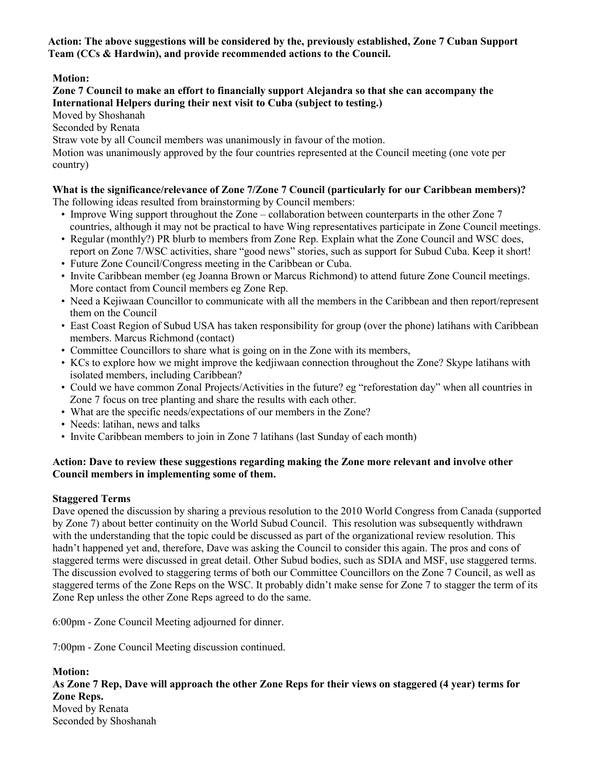**Action: The above suggestions will be considered by the, previously established, Zone 7 Cuban Support Team (CCs & Hardwin), and provide recommended actions to the Council.**

# **Motion:**

#### **Zone 7 Council to make an effort to financially support Alejandra so that she can accompany the International Helpers during their next visit to Cuba (subject to testing.)**

Moved by Shoshanah

Seconded by Renata

Straw vote by all Council members was unanimously in favour of the motion.

Motion was unanimously approved by the four countries represented at the Council meeting (one vote per country)

# **What is the significance/relevance of Zone 7/Zone 7 Council (particularly for our Caribbean members)?**

The following ideas resulted from brainstorming by Council members:

- Improve Wing support throughout the Zone collaboration between counterparts in the other Zone 7 countries, although it may not be practical to have Wing representatives participate in Zone Council meetings.
- Regular (monthly?) PR blurb to members from Zone Rep. Explain what the Zone Council and WSC does, report on Zone 7/WSC activities, share "good news" stories, such as support for Subud Cuba. Keep it short!
- Future Zone Council/Congress meeting in the Caribbean or Cuba.
- Invite Caribbean member (eg Joanna Brown or Marcus Richmond) to attend future Zone Council meetings. More contact from Council members eg Zone Rep.
- Need a Kejiwaan Councillor to communicate with all the members in the Caribbean and then report/represent them on the Council
- East Coast Region of Subud USA has taken responsibility for group (over the phone) latihans with Caribbean members. Marcus Richmond (contact)
- Committee Councillors to share what is going on in the Zone with its members,
- KCs to explore how we might improve the kedjiwaan connection throughout the Zone? Skype latihans with isolated members, including Caribbean?
- Could we have common Zonal Projects/Activities in the future? eg "reforestation day" when all countries in Zone 7 focus on tree planting and share the results with each other.
- What are the specific needs/expectations of our members in the Zone?
- Needs: latihan, news and talks
- Invite Caribbean members to join in Zone 7 latihans (last Sunday of each month)

# **Action: Dave to review these suggestions regarding making the Zone more relevant and involve other Council members in implementing some of them.**

# **Staggered Terms**

Dave opened the discussion by sharing a previous resolution to the 2010 World Congress from Canada (supported by Zone 7) about better continuity on the World Subud Council. This resolution was subsequently withdrawn with the understanding that the topic could be discussed as part of the organizational review resolution. This hadn't happened yet and, therefore, Dave was asking the Council to consider this again. The pros and cons of staggered terms were discussed in great detail. Other Subud bodies, such as SDIA and MSF, use staggered terms. The discussion evolved to staggering terms of both our Committee Councillors on the Zone 7 Council, as well as staggered terms of the Zone Reps on the WSC. It probably didn't make sense for Zone 7 to stagger the term of its Zone Rep unless the other Zone Reps agreed to do the same.

6:00pm - Zone Council Meeting adjourned for dinner.

7:00pm - Zone Council Meeting discussion continued.

**Motion: As Zone 7 Rep, Dave will approach the other Zone Reps for their views on staggered (4 year) terms for Zone Reps.** Moved by Renata Seconded by Shoshanah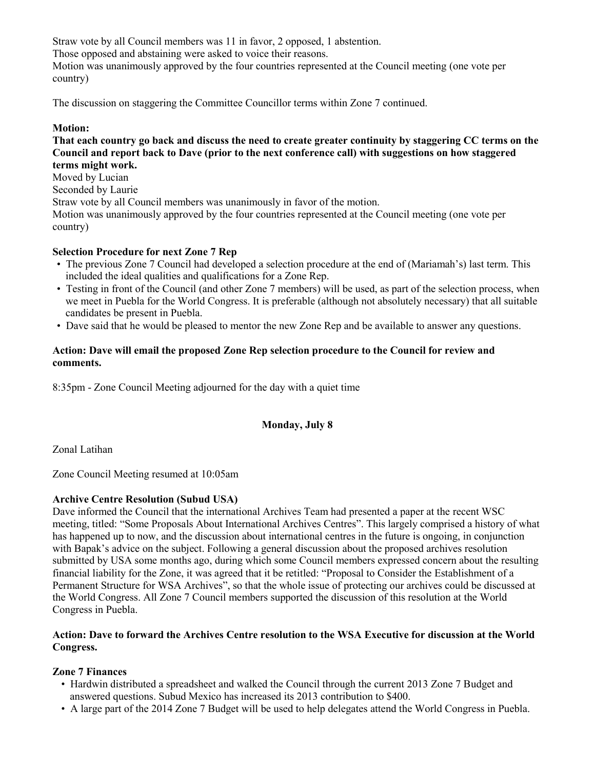Straw vote by all Council members was 11 in favor, 2 opposed, 1 abstention.

Those opposed and abstaining were asked to voice their reasons.

Motion was unanimously approved by the four countries represented at the Council meeting (one vote per country)

The discussion on staggering the Committee Councillor terms within Zone 7 continued.

#### **Motion:**

#### **That each country go back and discuss the need to create greater continuity by staggering CC terms on the Council and report back to Dave (prior to the next conference call) with suggestions on how staggered terms might work.**

Moved by Lucian

Seconded by Laurie

Straw vote by all Council members was unanimously in favor of the motion.

Motion was unanimously approved by the four countries represented at the Council meeting (one vote per country)

## **Selection Procedure for next Zone 7 Rep**

- The previous Zone 7 Council had developed a selection procedure at the end of (Mariamah's) last term. This included the ideal qualities and qualifications for a Zone Rep.
- Testing in front of the Council (and other Zone 7 members) will be used, as part of the selection process, when we meet in Puebla for the World Congress. It is preferable (although not absolutely necessary) that all suitable candidates be present in Puebla.
- Dave said that he would be pleased to mentor the new Zone Rep and be available to answer any questions.

## **Action: Dave will email the proposed Zone Rep selection procedure to the Council for review and comments.**

8:35pm - Zone Council Meeting adjourned for the day with a quiet time

## **Monday, July 8**

Zonal Latihan

Zone Council Meeting resumed at 10:05am

#### **Archive Centre Resolution (Subud USA)**

Dave informed the Council that the international Archives Team had presented a paper at the recent WSC meeting, titled: "Some Proposals About International Archives Centres". This largely comprised a history of what has happened up to now, and the discussion about international centres in the future is ongoing, in conjunction with Bapak's advice on the subject. Following a general discussion about the proposed archives resolution submitted by USA some months ago, during which some Council members expressed concern about the resulting financial liability for the Zone, it was agreed that it be retitled: "Proposal to Consider the Establishment of a Permanent Structure for WSA Archives", so that the whole issue of protecting our archives could be discussed at the World Congress. All Zone 7 Council members supported the discussion of this resolution at the World Congress in Puebla.

### **Action: Dave to forward the Archives Centre resolution to the WSA Executive for discussion at the World Congress.**

## **Zone 7 Finances**

- Hardwin distributed a spreadsheet and walked the Council through the current 2013 Zone 7 Budget and answered questions. Subud Mexico has increased its 2013 contribution to \$400.
- A large part of the 2014 Zone 7 Budget will be used to help delegates attend the World Congress in Puebla.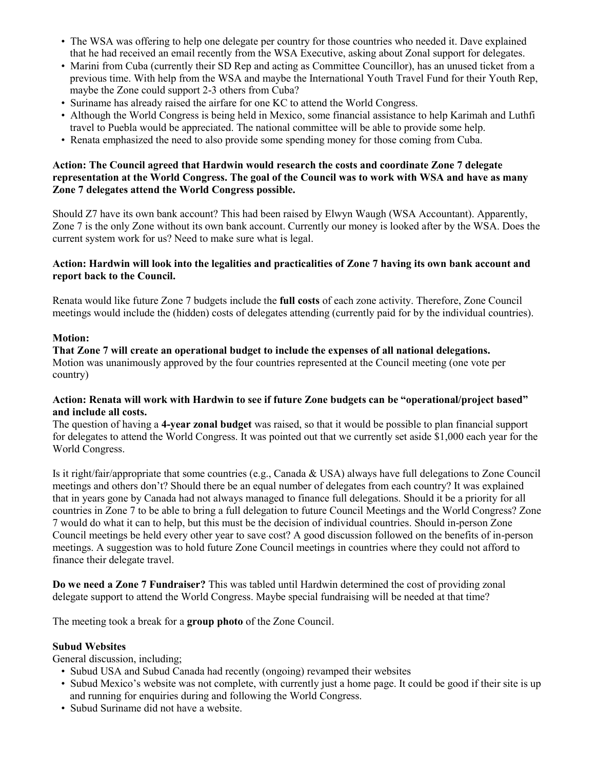- The WSA was offering to help one delegate per country for those countries who needed it. Dave explained that he had received an email recently from the WSA Executive, asking about Zonal support for delegates.
- Marini from Cuba (currently their SD Rep and acting as Committee Councillor), has an unused ticket from a previous time. With help from the WSA and maybe the International Youth Travel Fund for their Youth Rep, maybe the Zone could support 2-3 others from Cuba?
- Suriname has already raised the airfare for one KC to attend the World Congress.
- Although the World Congress is being held in Mexico, some financial assistance to help Karimah and Luthfi travel to Puebla would be appreciated. The national committee will be able to provide some help.
- Renata emphasized the need to also provide some spending money for those coming from Cuba.

#### **Action: The Council agreed that Hardwin would research the costs and coordinate Zone 7 delegate representation at the World Congress. The goal of the Council was to work with WSA and have as many Zone 7 delegates attend the World Congress possible.**

Should Z7 have its own bank account? This had been raised by Elwyn Waugh (WSA Accountant). Apparently, Zone 7 is the only Zone without its own bank account. Currently our money is looked after by the WSA. Does the current system work for us? Need to make sure what is legal.

#### **Action: Hardwin will look into the legalities and practicalities of Zone 7 having its own bank account and report back to the Council.**

Renata would like future Zone 7 budgets include the **full costs** of each zone activity. Therefore, Zone Council meetings would include the (hidden) costs of delegates attending (currently paid for by the individual countries).

#### **Motion:**

**That Zone 7 will create an operational budget to include the expenses of all national delegations.** Motion was unanimously approved by the four countries represented at the Council meeting (one vote per country)

#### **Action: Renata will work with Hardwin to see if future Zone budgets can be "operational/project based" and include all costs.**

The question of having a **4-year zonal budget** was raised, so that it would be possible to plan financial support for delegates to attend the World Congress. It was pointed out that we currently set aside \$1,000 each year for the World Congress.

Is it right/fair/appropriate that some countries (e.g., Canada & USA) always have full delegations to Zone Council meetings and others don't? Should there be an equal number of delegates from each country? It was explained that in years gone by Canada had not always managed to finance full delegations. Should it be a priority for all countries in Zone 7 to be able to bring a full delegation to future Council Meetings and the World Congress? Zone 7 would do what it can to help, but this must be the decision of individual countries. Should in-person Zone Council meetings be held every other year to save cost? A good discussion followed on the benefits of in-person meetings. A suggestion was to hold future Zone Council meetings in countries where they could not afford to finance their delegate travel.

**Do we need a Zone 7 Fundraiser?** This was tabled until Hardwin determined the cost of providing zonal delegate support to attend the World Congress. Maybe special fundraising will be needed at that time?

The meeting took a break for a **group photo** of the Zone Council.

## **Subud Websites**

General discussion, including;

- Subud USA and Subud Canada had recently (ongoing) revamped their websites
- Subud Mexico's website was not complete, with currently just a home page. It could be good if their site is up and running for enquiries during and following the World Congress.
- Subud Suriname did not have a website.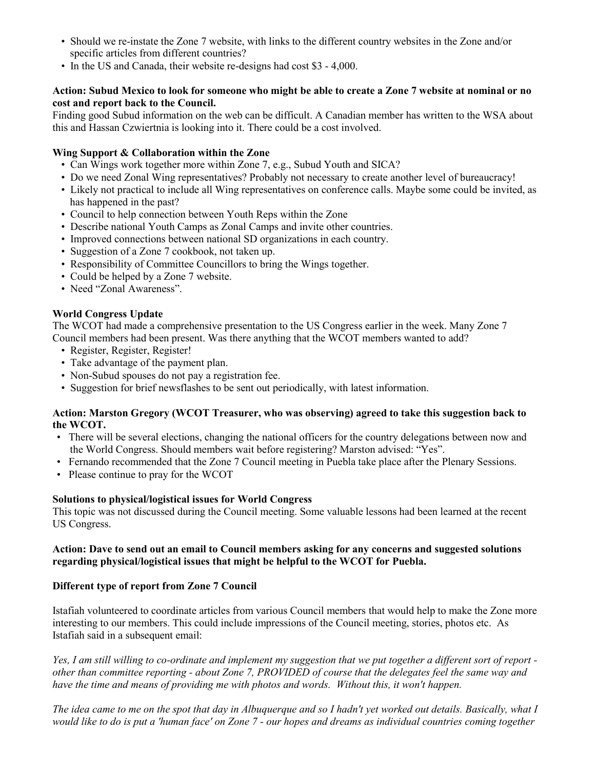- Should we re-instate the Zone 7 website, with links to the different country websites in the Zone and/or specific articles from different countries?
- In the US and Canada, their website re-designs had cost \$3 4,000.

## **Action: Subud Mexico to look for someone who might be able to create a Zone 7 website at nominal or no cost and report back to the Council.**

Finding good Subud information on the web can be difficult. A Canadian member has written to the WSA about this and Hassan Czwiertnia is looking into it. There could be a cost involved.

## **Wing Support & Collaboration within the Zone**

- Can Wings work together more within Zone 7, e.g., Subud Youth and SICA?
- Do we need Zonal Wing representatives? Probably not necessary to create another level of bureaucracy!
- Likely not practical to include all Wing representatives on conference calls. Maybe some could be invited, as has happened in the past?
- Council to help connection between Youth Reps within the Zone
- Describe national Youth Camps as Zonal Camps and invite other countries.
- Improved connections between national SD organizations in each country.
- Suggestion of a Zone 7 cookbook, not taken up.
- Responsibility of Committee Councillors to bring the Wings together.
- Could be helped by a Zone 7 website.
- Need "Zonal Awareness".

## **World Congress Update**

The WCOT had made a comprehensive presentation to the US Congress earlier in the week. Many Zone 7 Council members had been present. Was there anything that the WCOT members wanted to add?

- Register, Register, Register!
- Take advantage of the payment plan.
- Non-Subud spouses do not pay a registration fee.
- Suggestion for brief newsflashes to be sent out periodically, with latest information.

#### **Action: Marston Gregory (WCOT Treasurer, who was observing) agreed to take this suggestion back to the WCOT.**

- There will be several elections, changing the national officers for the country delegations between now and the World Congress. Should members wait before registering? Marston advised: "Yes".
- Fernando recommended that the Zone 7 Council meeting in Puebla take place after the Plenary Sessions.
- Please continue to pray for the WCOT

#### **Solutions to physical/logistical issues for World Congress**

This topic was not discussed during the Council meeting. Some valuable lessons had been learned at the recent US Congress.

#### **Action: Dave to send out an email to Council members asking for any concerns and suggested solutions regarding physical/logistical issues that might be helpful to the WCOT for Puebla.**

## **Different type of report from Zone 7 Council**

Istafiah volunteered to coordinate articles from various Council members that would help to make the Zone more interesting to our members. This could include impressions of the Council meeting, stories, photos etc. As Istafiah said in a subsequent email:

*Yes, I am still willing to co-ordinate and implement my suggestion that we put together a different sort of report other than committee reporting - about Zone 7, PROVIDED of course that the delegates feel the same way and have the time and means of providing me with photos and words. Without this, it won't happen.*

*The idea came to me on the spot that day in Albuquerque and so I hadn't yet worked out details. Basically, what I would like to do is put a 'human face' on Zone 7 - our hopes and dreams as individual countries coming together*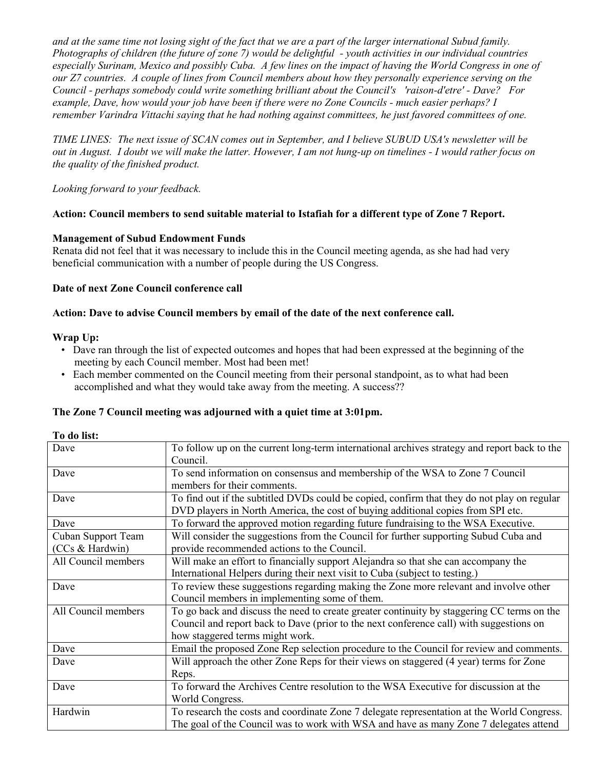*and at the same time not losing sight of the fact that we are a part of the larger international Subud family. Photographs of children (the future of zone 7) would be delightful - youth activities in our individual countries especially Surinam, Mexico and possibly Cuba. A few lines on the impact of having the World Congress in one of our Z7 countries. A couple of lines from Council members about how they personally experience serving on the Council - perhaps somebody could write something brilliant about the Council's 'raison-d'etre' - Dave? For example, Dave, how would your job have been if there were no Zone Councils - much easier perhaps? I remember Varindra Vittachi saying that he had nothing against committees, he just favored committees of one.*

*TIME LINES: The next issue of SCAN comes out in September, and I believe SUBUD USA's newsletter will be out in August. I doubt we will make the latter. However, I am not hung-up on timelines - I would rather focus on the quality of the finished product.*

*Looking forward to your feedback.*

## **Action: Council members to send suitable material to Istafiah for a different type of Zone 7 Report.**

### **Management of Subud Endowment Funds**

Renata did not feel that it was necessary to include this in the Council meeting agenda, as she had had very beneficial communication with a number of people during the US Congress.

#### **Date of next Zone Council conference call**

#### **Action: Dave to advise Council members by email of the date of the next conference call.**

#### **Wrap Up:**

- Dave ran through the list of expected outcomes and hopes that had been expressed at the beginning of the meeting by each Council member. Most had been met!
- Each member commented on the Council meeting from their personal standpoint, as to what had been accomplished and what they would take away from the meeting. A success??

#### **The Zone 7 Council meeting was adjourned with a quiet time at 3:01pm.**

|  |  | To do list: |
|--|--|-------------|
|--|--|-------------|

| Dave                | To follow up on the current long-term international archives strategy and report back to the |
|---------------------|----------------------------------------------------------------------------------------------|
|                     | Council.                                                                                     |
| Dave                | To send information on consensus and membership of the WSA to Zone 7 Council                 |
|                     | members for their comments.                                                                  |
| Dave                | To find out if the subtitled DVDs could be copied, confirm that they do not play on regular  |
|                     | DVD players in North America, the cost of buying additional copies from SPI etc.             |
| Dave                | To forward the approved motion regarding future fundraising to the WSA Executive.            |
| Cuban Support Team  | Will consider the suggestions from the Council for further supporting Subud Cuba and         |
| (CCs & Hardwin)     | provide recommended actions to the Council.                                                  |
| All Council members | Will make an effort to financially support Alejandra so that she can accompany the           |
|                     | International Helpers during their next visit to Cuba (subject to testing.)                  |
| Dave                | To review these suggestions regarding making the Zone more relevant and involve other        |
|                     | Council members in implementing some of them.                                                |
| All Council members | To go back and discuss the need to create greater continuity by staggering CC terms on the   |
|                     | Council and report back to Dave (prior to the next conference call) with suggestions on      |
|                     | how staggered terms might work.                                                              |
| Dave                | Email the proposed Zone Rep selection procedure to the Council for review and comments.      |
| Dave                | Will approach the other Zone Reps for their views on staggered (4 year) terms for Zone       |
|                     | Reps.                                                                                        |
| Dave                | To forward the Archives Centre resolution to the WSA Executive for discussion at the         |
|                     | World Congress.                                                                              |
| Hardwin             | To research the costs and coordinate Zone 7 delegate representation at the World Congress.   |
|                     | The goal of the Council was to work with WSA and have as many Zone 7 delegates attend        |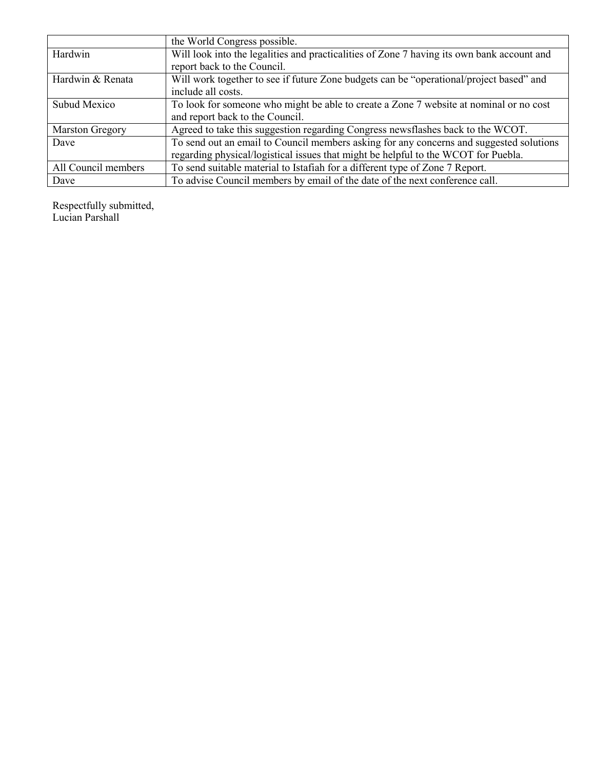|                        | the World Congress possible.                                                               |
|------------------------|--------------------------------------------------------------------------------------------|
| Hardwin                | Will look into the legalities and practicalities of Zone 7 having its own bank account and |
|                        | report back to the Council.                                                                |
| Hardwin & Renata       | Will work together to see if future Zone budgets can be "operational/project based" and    |
|                        | include all costs.                                                                         |
| <b>Subud Mexico</b>    | To look for someone who might be able to create a Zone 7 website at nominal or no cost     |
|                        | and report back to the Council.                                                            |
| <b>Marston Gregory</b> | Agreed to take this suggestion regarding Congress newsflashes back to the WCOT.            |
| Dave                   | To send out an email to Council members asking for any concerns and suggested solutions    |
|                        | regarding physical/logistical issues that might be helpful to the WCOT for Puebla.         |
| All Council members    | To send suitable material to Istafiah for a different type of Zone 7 Report.               |
| Dave                   | To advise Council members by email of the date of the next conference call.                |

Respectfully submitted, Lucian Parshall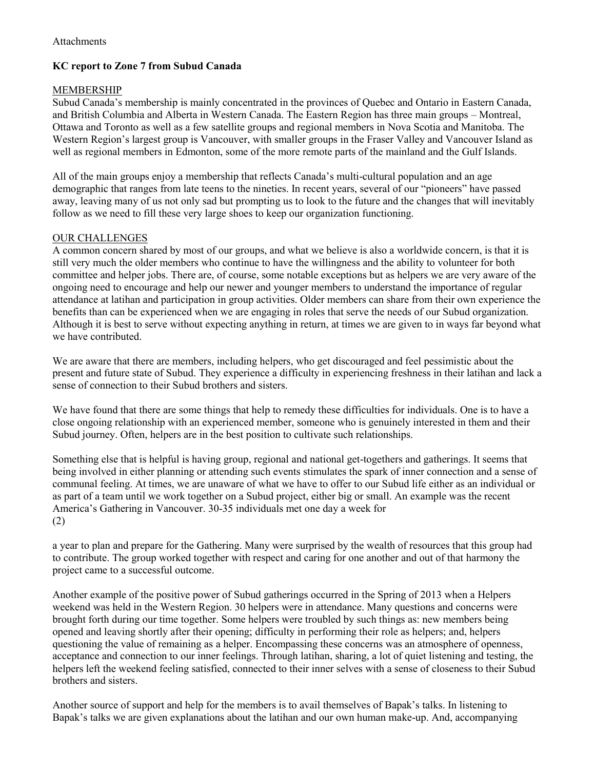# **KC report to Zone 7 from Subud Canada**

## MEMBERSHIP

Subud Canada's membership is mainly concentrated in the provinces of Quebec and Ontario in Eastern Canada, and British Columbia and Alberta in Western Canada. The Eastern Region has three main groups – Montreal, Ottawa and Toronto as well as a few satellite groups and regional members in Nova Scotia and Manitoba. The Western Region's largest group is Vancouver, with smaller groups in the Fraser Valley and Vancouver Island as well as regional members in Edmonton, some of the more remote parts of the mainland and the Gulf Islands.

All of the main groups enjoy a membership that reflects Canada's multi-cultural population and an age demographic that ranges from late teens to the nineties. In recent years, several of our "pioneers" have passed away, leaving many of us not only sad but prompting us to look to the future and the changes that will inevitably follow as we need to fill these very large shoes to keep our organization functioning.

### OUR CHALLENGES

A common concern shared by most of our groups, and what we believe is also a worldwide concern, is that it is still very much the older members who continue to have the willingness and the ability to volunteer for both committee and helper jobs. There are, of course, some notable exceptions but as helpers we are very aware of the ongoing need to encourage and help our newer and younger members to understand the importance of regular attendance at latihan and participation in group activities. Older members can share from their own experience the benefits than can be experienced when we are engaging in roles that serve the needs of our Subud organization. Although it is best to serve without expecting anything in return, at times we are given to in ways far beyond what we have contributed.

We are aware that there are members, including helpers, who get discouraged and feel pessimistic about the present and future state of Subud. They experience a difficulty in experiencing freshness in their latihan and lack a sense of connection to their Subud brothers and sisters.

We have found that there are some things that help to remedy these difficulties for individuals. One is to have a close ongoing relationship with an experienced member, someone who is genuinely interested in them and their Subud journey. Often, helpers are in the best position to cultivate such relationships.

Something else that is helpful is having group, regional and national get-togethers and gatherings. It seems that being involved in either planning or attending such events stimulates the spark of inner connection and a sense of communal feeling. At times, we are unaware of what we have to offer to our Subud life either as an individual or as part of a team until we work together on a Subud project, either big or small. An example was the recent America's Gathering in Vancouver. 30-35 individuals met one day a week for (2)

a year to plan and prepare for the Gathering. Many were surprised by the wealth of resources that this group had to contribute. The group worked together with respect and caring for one another and out of that harmony the project came to a successful outcome.

Another example of the positive power of Subud gatherings occurred in the Spring of 2013 when a Helpers weekend was held in the Western Region. 30 helpers were in attendance. Many questions and concerns were brought forth during our time together. Some helpers were troubled by such things as: new members being opened and leaving shortly after their opening; difficulty in performing their role as helpers; and, helpers questioning the value of remaining as a helper. Encompassing these concerns was an atmosphere of openness, acceptance and connection to our inner feelings. Through latihan, sharing, a lot of quiet listening and testing, the helpers left the weekend feeling satisfied, connected to their inner selves with a sense of closeness to their Subud brothers and sisters.

Another source of support and help for the members is to avail themselves of Bapak's talks. In listening to Bapak's talks we are given explanations about the latihan and our own human make-up. And, accompanying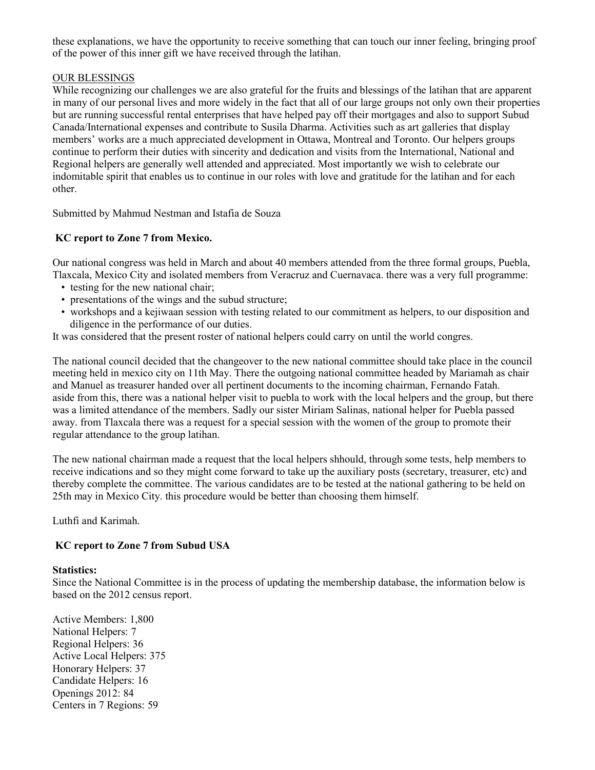these explanations, we have the opportunity to receive something that can touch our inner feeling, bringing proof of the power of this inner gift we have received through the latihan.

## OUR BLESSINGS

While recognizing our challenges we are also grateful for the fruits and blessings of the latihan that are apparent in many of our personal lives and more widely in the fact that all of our large groups not only own their properties but are running successful rental enterprises that have helped pay off their mortgages and also to support Subud Canada/International expenses and contribute to Susila Dharma. Activities such as art galleries that display members' works are a much appreciated development in Ottawa, Montreal and Toronto. Our helpers groups continue to perform their duties with sincerity and dedication and visits from the International, National and Regional helpers are generally well attended and appreciated. Most importantly we wish to celebrate our indomitable spirit that enables us to continue in our roles with love and gratitude for the latihan and for each other.

Submitted by Mahmud Nestman and Istafia de Souza

## **KC report to Zone 7 from Mexico.**

Our national congress was held in March and about 40 members attended from the three formal groups, Puebla, Tlaxcala, Mexico City and isolated members from Veracruz and Cuernavaca. there was a very full programme:

- testing for the new national chair;
- presentations of the wings and the subud structure;
- workshops and a kejiwaan session with testing related to our commitment as helpers, to our disposition and diligence in the performance of our duties.

It was considered that the present roster of national helpers could carry on until the world congres.

The national council decided that the changeover to the new national committee should take place in the council meeting held in mexico city on 11th May. There the outgoing national committee headed by Mariamah as chair and Manuel as treasurer handed over all pertinent documents to the incoming chairman, Fernando Fatah. aside from this, there was a national helper visit to puebla to work with the local helpers and the group, but there was a limited attendance of the members. Sadly our sister Miriam Salinas, national helper for Puebla passed away. from Tlaxcala there was a request for a special session with the women of the group to promote their regular attendance to the group latihan.

The new national chairman made a request that the local helpers shhould, through some tests, help members to receive indications and so they might come forward to take up the auxiliary posts (secretary, treasurer, etc) and thereby complete the committee. The various candidates are to be tested at the national gathering to be held on 25th may in Mexico City. this procedure would be better than choosing them himself.

Luthfi and Karimah.

## **KC report to Zone 7 from Subud USA**

#### **Statistics:**

Since the National Committee is in the process of updating the membership database, the information below is based on the 2012 census report.

Active Members: 1,800 National Helpers: 7 Regional Helpers: 36 Active Local Helpers: 375 Honorary Helpers: 37 Candidate Helpers: 16 Openings 2012: 84 Centers in 7 Regions: 59